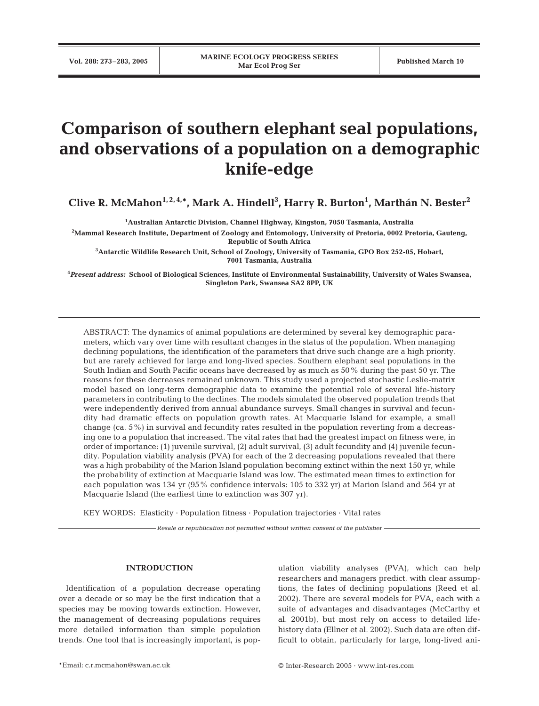# **Comparison of southern elephant seal populations, and observations of a population on a demographic knife-edge**

**Clive R. McMahon1, 2, 4,\*, Mark A. Hindell3 , Harry R. Burton1 , Marthán N. Bester2**

**1 Australian Antarctic Division, Channel Highway, Kingston, 7050 Tasmania, Australia**

**2 Mammal Research Institute, Department of Zoology and Entomology, University of Pretoria, 0002 Pretoria, Gauteng, Republic of South Africa**

**3 Antarctic Wildlife Research Unit, School of Zoology, University of Tasmania, GPO Box 252-05, Hobart, 7001 Tasmania, Australia**

**4** *Present address:* **School of Biological Sciences, Institute of Environmental Sustainability, University of Wales Swansea, Singleton Park, Swansea SA2 8PP, UK**

ABSTRACT: The dynamics of animal populations are determined by several key demographic parameters, which vary over time with resultant changes in the status of the population. When managing declining populations, the identification of the parameters that drive such change are a high priority, but are rarely achieved for large and long-lived species. Southern elephant seal populations in the South Indian and South Pacific oceans have decreased by as much as 50% during the past 50 yr. The reasons for these decreases remained unknown. This study used a projected stochastic Leslie-matrix model based on long-term demographic data to examine the potential role of several life-history parameters in contributing to the declines. The models simulated the observed population trends that were independently derived from annual abundance surveys. Small changes in survival and fecundity had dramatic effects on population growth rates. At Macquarie Island for example, a small change (ca. 5%) in survival and fecundity rates resulted in the population reverting from a decreasing one to a population that increased. The vital rates that had the greatest impact on fitness were, in order of importance: (1) juvenile survival, (2) adult survival, (3) adult fecundity and (4) juvenile fecundity. Population viability analysis (PVA) for each of the 2 decreasing populations revealed that there was a high probability of the Marion Island population becoming extinct within the next 150 yr, while the probability of extinction at Macquarie Island was low. The estimated mean times to extinction for each population was 134 yr (95% confidence intervals: 105 to 332 yr) at Marion Island and 564 yr at Macquarie Island (the earliest time to extinction was 307 yr).

KEY WORDS: Elasticity · Population fitness · Population trajectories · Vital rates

*Resale or republication not permitted without written consent of the publisher*

## **INTRODUCTION**

Identification of a population decrease operating over a decade or so may be the first indication that a species may be moving towards extinction. However, the management of decreasing populations requires more detailed information than simple population trends. One tool that is increasingly important, is population viability analyses (PVA), which can help researchers and managers predict, with clear assumptions, the fates of declining populations (Reed et al. 2002). There are several models for PVA, each with a suite of advantages and disadvantages (McCarthy et al. 2001b), but most rely on access to detailed lifehistory data (Ellner et al. 2002). Such data are often difficult to obtain, particularly for large, long-lived ani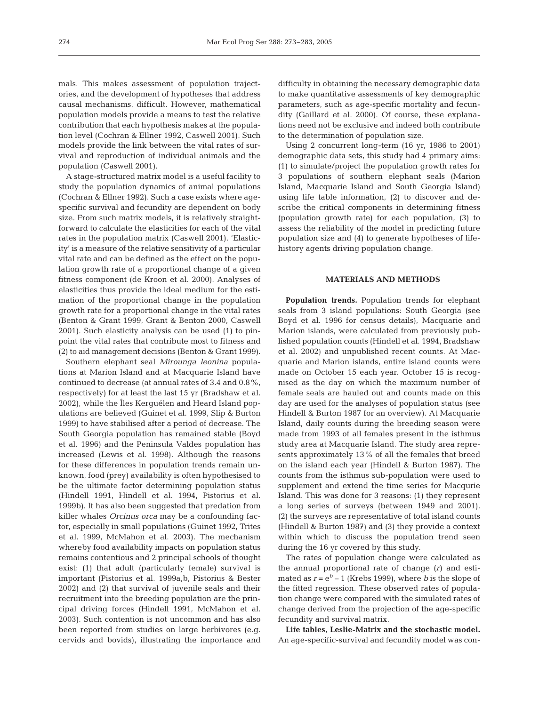mals. This makes assessment of population trajectories, and the development of hypotheses that address causal mechanisms, difficult. However, mathematical population models provide a means to test the relative contribution that each hypothesis makes at the population level (Cochran & Ellner 1992, Caswell 2001). Such models provide the link between the vital rates of survival and reproduction of individual animals and the population (Caswell 2001).

A stage-structured matrix model is a useful facility to study the population dynamics of animal populations (Cochran & Ellner 1992). Such a case exists where agespecific survival and fecundity are dependent on body size. From such matrix models, it is relatively straightforward to calculate the elasticities for each of the vital rates in the population matrix (Caswell 2001). 'Elasticity' is a measure of the relative sensitivity of a particular vital rate and can be defined as the effect on the population growth rate of a proportional change of a given fitness component (de Kroon et al. 2000). Analyses of elasticities thus provide the ideal medium for the estimation of the proportional change in the population growth rate for a proportional change in the vital rates (Benton & Grant 1999, Grant & Benton 2000, Caswell 2001). Such elasticity analysis can be used (1) to pinpoint the vital rates that contribute most to fitness and (2) to aid management decisions (Benton & Grant 1999).

Southern elephant seal *Mirounga leonina* populations at Marion Island and at Macquarie Island have continued to decrease (at annual rates of 3.4 and 0.8%, respectively) for at least the last 15 yr (Bradshaw et al. 2002), while the Îles Kerguélen and Heard Island populations are believed (Guinet et al. 1999, Slip & Burton 1999) to have stabilised after a period of decrease. The South Georgia population has remained stable (Boyd et al. 1996) and the Peninsula Valdes population has increased (Lewis et al. 1998). Although the reasons for these differences in population trends remain unknown, food (prey) availability is often hypothesised to be the ultimate factor determining population status (Hindell 1991, Hindell et al. 1994, Pistorius et al. 1999b). It has also been suggested that predation from killer whales *Orcinus orca* may be a confounding factor, especially in small populations (Guinet 1992, Trites et al. 1999, McMahon et al. 2003). The mechanism whereby food availability impacts on population status remains contentious and 2 principal schools of thought exist: (1) that adult (particularly female) survival is important (Pistorius et al. 1999a,b, Pistorius & Bester 2002) and (2) that survival of juvenile seals and their recruitment into the breeding population are the principal driving forces (Hindell 1991, McMahon et al. 2003). Such contention is not uncommon and has also been reported from studies on large herbivores (e.g. cervids and bovids), illustrating the importance and difficulty in obtaining the necessary demographic data to make quantitative assessments of key demographic parameters, such as age-specific mortality and fecundity (Gaillard et al. 2000). Of course, these explanations need not be exclusive and indeed both contribute to the determination of population size.

Using 2 concurrent long-term (16 yr, 1986 to 2001) demographic data sets, this study had 4 primary aims: (1) to simulate/project the population growth rates for 3 populations of southern elephant seals (Marion Island, Macquarie Island and South Georgia Island) using life table information, (2) to discover and describe the critical components in determining fitness (population growth rate) for each population, (3) to assess the reliability of the model in predicting future population size and (4) to generate hypotheses of lifehistory agents driving population change.

## **MATERIALS AND METHODS**

**Population trends.** Population trends for elephant seals from 3 island populations: South Georgia (see Boyd et al. 1996 for census details), Macquarie and Marion islands, were calculated from previously published population counts (Hindell et al. 1994, Bradshaw et al. 2002) and unpublished recent counts. At Macquarie and Marion islands, entire island counts were made on October 15 each year. October 15 is recognised as the day on which the maximum number of female seals are hauled out and counts made on this day are used for the analyses of population status (see Hindell & Burton 1987 for an overview). At Macquarie Island, daily counts during the breeding season were made from 1993 of all females present in the isthmus study area at Macquarie Island. The study area represents approximately 13% of all the females that breed on the island each year (Hindell & Burton 1987). The counts from the isthmus sub-population were used to supplement and extend the time series for Macqurie Island. This was done for 3 reasons: (1) they represent a long series of surveys (between 1949 and 2001), (2) the surveys are representative of total island counts (Hindell & Burton 1987) and (3) they provide a context within which to discuss the population trend seen during the 16 yr covered by this study.

The rates of population change were calculated as the annual proportional rate of change (*r*) and estimated as  $r = e^b - 1$  (Krebs 1999), where *b* is the slope of the fitted regression. These observed rates of population change were compared with the simulated rates of change derived from the projection of the age-specific fecundity and survival matrix.

**Life tables, Leslie-Matrix and the stochastic model.** An age-specific-survival and fecundity model was con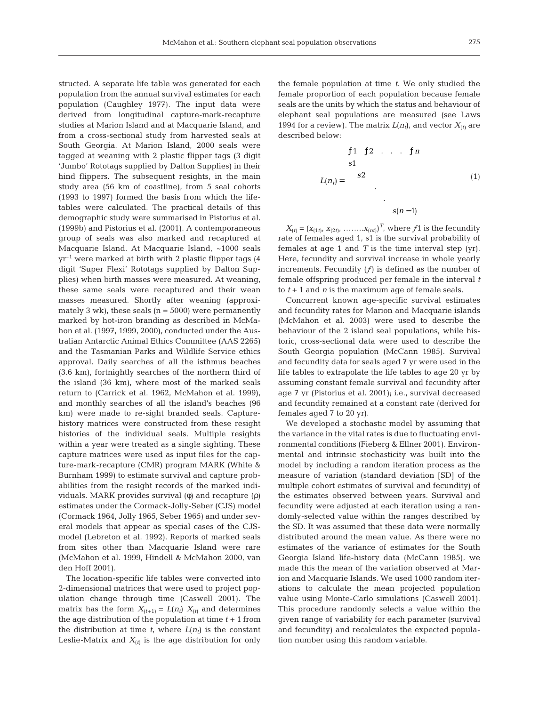structed. A separate life table was generated for each population from the annual survival estimates for each population (Caughley 1977). The input data were derived from longitudinal capture-mark-recapture studies at Marion Island and at Macquarie Island, and from a cross-sectional study from harvested seals at South Georgia. At Marion Island, 2000 seals were tagged at weaning with 2 plastic flipper tags (3 digit 'Jumbo' Rototags supplied by Dalton Supplies) in their hind flippers. The subsequent resights, in the main study area (56 km of coastline), from 5 seal cohorts (1993 to 1997) formed the basis from which the lifetables were calculated. The practical details of this demographic study were summarised in Pistorius et al. (1999b) and Pistorius et al. (2001). A contemporaneous group of seals was also marked and recaptured at Macquarie Island. At Macquarie Island, ~1000 seals  $yr^{-1}$  were marked at birth with 2 plastic flipper tags (4) digit 'Super Flexi' Rototags supplied by Dalton Supplies) when birth masses were measured. At weaning, these same seals were recaptured and their wean masses measured. Shortly after weaning (approximately 3 wk), these seals  $(n = 5000)$  were permanently marked by hot-iron branding as described in McMahon et al. (1997, 1999, 2000), conducted under the Australian Antarctic Animal Ethics Committee (AAS 2265) and the Tasmanian Parks and Wildlife Service ethics approval. Daily searches of all the isthmus beaches (3.6 km), fortnightly searches of the northern third of the island (36 km), where most of the marked seals return to (Carrick et al. 1962, McMahon et al. 1999), and monthly searches of all the island's beaches (96 km) were made to re-sight branded seals. Capturehistory matrices were constructed from these resight histories of the individual seals. Multiple resights within a year were treated as a single sighting. These capture matrices were used as input files for the capture-mark-recapture (CMR) program MARK (White & Burnham 1999) to estimate survival and capture probabilities from the resight records of the marked individuals. MARK provides survival (φ) and recapture (ρ) estimates under the Cormack-Jolly-Seber (CJS) model (Cormack 1964, Jolly 1965, Seber 1965) and under several models that appear as special cases of the CJSmodel (Lebreton et al. 1992). Reports of marked seals from sites other than Macquarie Island were rare (McMahon et al. 1999, Hindell & McMahon 2000, van den Hoff 2001).

The location-specific life tables were converted into 2-dimensional matrices that were used to project population change through time (Caswell 2001). The matrix has the form  $X_{(t+1)} = L(n_t) X_{(t)}$  and determines the age distribution of the population at time *t* + 1 from the distribution at time  $t$ , where  $L(n_t)$  is the constant Leslie-Matrix and  $X_{(t)}$  is the age distribution for only

the female population at time *t*. We only studied the female proportion of each population because female seals are the units by which the status and behaviour of elephant seal populations are measured (see Laws 1994 for a review). The matrix  $L(n_t)$ , and vector  $X_{(t)}$  are described below:

$$
L(n_{t}) = \begin{bmatrix} f1 & f2 & \dots & f1n \\ s1 & & & \\ s2 & & & \\ & & \ddots & \\ & & & s(n-1) \end{bmatrix} \tag{1}
$$

 $X_{(t)} = (x_{(1t)}, x_{(2t)}, \ldots, x_{(nt)})^T$ , where  $f_1$  is the fecundity rate of females aged 1, *s*1 is the survival probability of females at age 1 and *T* is the time interval step (yr). Here, fecundity and survival increase in whole yearly increments. Fecundity (*ƒ*) is defined as the number of female offspring produced per female in the interval *t* to  $t + 1$  and *n* is the maximum age of female seals.

Concurrent known age-specific survival estimates and fecundity rates for Marion and Macquarie islands (McMahon et al. 2003) were used to describe the behaviour of the 2 island seal populations, while historic, cross-sectional data were used to describe the South Georgia population (McCann 1985). Survival and fecundity data for seals aged 7 yr were used in the life tables to extrapolate the life tables to age 20 yr by assuming constant female survival and fecundity after age 7 yr (Pistorius et al. 2001); i.e., survival decreased and fecundity remained at a constant rate (derived for females aged 7 to 20 yr).

We developed a stochastic model by assuming that the variance in the vital rates is due to fluctuating environmental conditions (Fieberg & Ellner 2001). Environmental and intrinsic stochasticity was built into the model by including a random iteration process as the measure of variation (standard deviation [SD] of the multiple cohort estimates of survival and fecundity) of the estimates observed between years. Survival and fecundity were adjusted at each iteration using a randomly-selected value within the ranges described by the SD. It was assumed that these data were normally distributed around the mean value. As there were no estimates of the variance of estimates for the South Georgia Island life-history data (McCann 1985), we made this the mean of the variation observed at Marion and Macquarie Islands. We used 1000 random iterations to calculate the mean projected population value using Monte-Carlo simulations (Caswell 2001). This procedure randomly selects a value within the given range of variability for each parameter (survival and fecundity) and recalculates the expected population number using this random variable.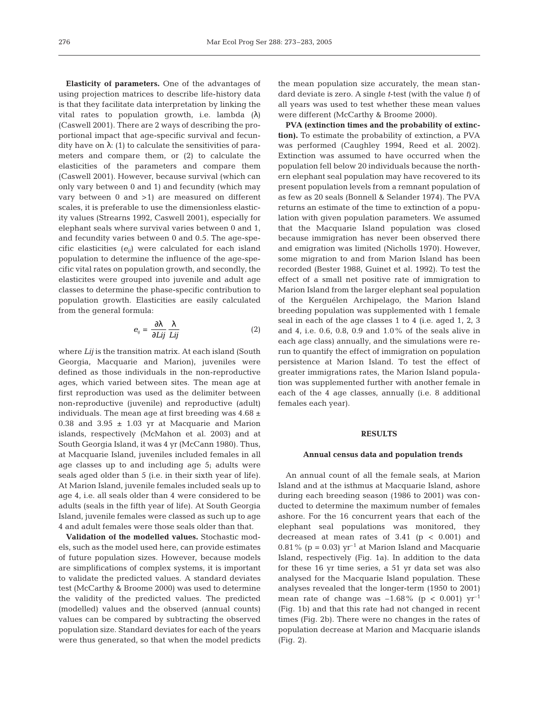**Elasticity of parameters.** One of the advantages of using projection matrices to describe life-history data is that they facilitate data interpretation by linking the vital rates to population growth, i.e. lambda  $(\lambda)$ (Caswell 2001). There are 2 ways of describing the proportional impact that age-specific survival and fecundity have on  $\lambda$ : (1) to calculate the sensitivities of parameters and compare them, or (2) to calculate the elasticities of the parameters and compare them (Caswell 2001). However, because survival (which can only vary between 0 and 1) and fecundity (which may vary between 0 and >1) are measured on different scales, it is preferable to use the dimensionless elasticity values (Strearns 1992, Caswell 2001), especially for elephant seals where survival varies between 0 and 1, and fecundity varies between 0 and 0.5. The age-specific elasticities (*eij*) were calculated for each island population to determine the influence of the age-specific vital rates on population growth, and secondly, the elasticites were grouped into juvenile and adult age classes to determine the phase-specific contribution to population growth. Elasticities are easily calculated from the general formula:

$$
e_{ij} = \frac{\partial \lambda}{\partial L ij} \frac{\lambda}{Lij}
$$
 (2)

where *Lij* is the transition matrix. At each island (South Georgia, Macquarie and Marion), juveniles were defined as those individuals in the non-reproductive ages, which varied between sites. The mean age at first reproduction was used as the delimiter between non-reproductive (juvenile) and reproductive (adult) individuals. The mean age at first breeding was 4.68  $\pm$ 0.38 and 3.95  $\pm$  1.03 yr at Macquarie and Marion islands, respectively (McMahon et al. 2003) and at South Georgia Island, it was 4 yr (McCann 1980). Thus, at Macquarie Island, juveniles included females in all age classes up to and including age 5; adults were seals aged older than 5 (i.e. in their sixth year of life). At Marion Island, juvenile females included seals up to age 4, i.e. all seals older than 4 were considered to be adults (seals in the fifth year of life). At South Georgia Island, juvenile females were classed as such up to age 4 and adult females were those seals older than that.

**Validation of the modelled values.** Stochastic models, such as the model used here, can provide estimates of future population sizes. However, because models are simplifications of complex systems, it is important to validate the predicted values. A standard deviates test (McCarthy & Broome 2000) was used to determine the validity of the predicted values. The predicted (modelled) values and the observed (annual counts) values can be compared by subtracting the observed population size. Standard deviates for each of the years were thus generated, so that when the model predicts

the mean population size accurately, the mean standard deviate is zero. A single *t*-test (with the value *t*) of all years was used to test whether these mean values were different (McCarthy & Broome 2000).

**PVA (extinction times and the probability of extinction).** To estimate the probability of extinction, a PVA was performed (Caughley 1994, Reed et al. 2002). Extinction was assumed to have occurred when the population fell below 20 individuals because the northern elephant seal population may have recovered to its present population levels from a remnant population of as few as 20 seals (Bonnell & Selander 1974). The PVA returns an estimate of the time to extinction of a population with given population parameters. We assumed that the Macquarie Island population was closed because immigration has never been observed there and emigration was limited (Nicholls 1970). However, some migration to and from Marion Island has been recorded (Bester 1988, Guinet et al. 1992). To test the effect of a small net positive rate of immigration to Marion Island from the larger elephant seal population of the Kerguélen Archipelago, the Marion Island breeding population was supplemented with 1 female seal in each of the age classes 1 to 4 (i.e. aged 1, 2, 3 and 4, i.e. 0.6, 0.8, 0.9 and 1.0% of the seals alive in each age class) annually, and the simulations were rerun to quantify the effect of immigration on population persistence at Marion Island. To test the effect of greater immigrations rates, the Marion Island population was supplemented further with another female in each of the 4 age classes, annually (i.e. 8 additional females each year).

## **RESULTS**

#### **Annual census data and population trends**

An annual count of all the female seals, at Marion Island and at the isthmus at Macquarie Island, ashore during each breeding season (1986 to 2001) was conducted to determine the maximum number of females ashore. For the 16 concurrent years that each of the elephant seal populations was monitored, they decreased at mean rates of  $3.41$  ( $p < 0.001$ ) and 0.81% ( $p = 0.03$ )  $yr^{-1}$  at Marion Island and Macquarie Island, respectively (Fig. 1a). In addition to the data for these 16 yr time series, a 51 yr data set was also analysed for the Macquarie Island population. These analyses revealed that the longer-term (1950 to 2001) mean rate of change was  $-1.68\%$  (p < 0.001)  $yr^{-1}$ (Fig. 1b) and that this rate had not changed in recent times (Fig. 2b). There were no changes in the rates of population decrease at Marion and Macquarie islands (Fig. 2).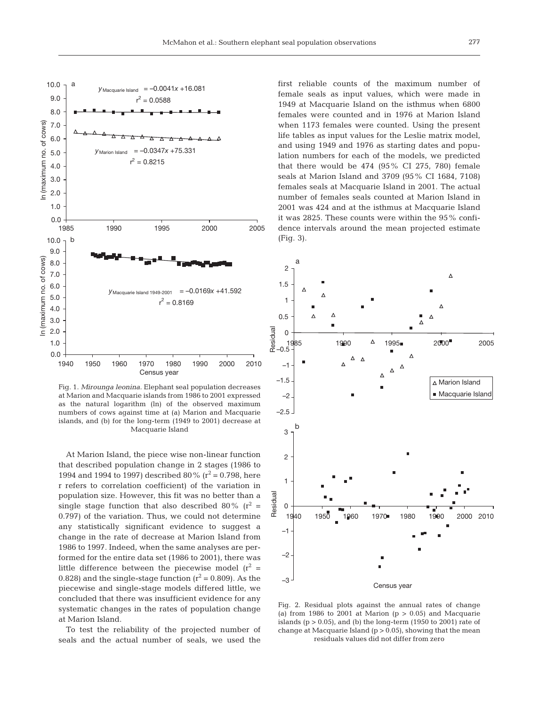

Fig. 1. *Mirounga leonina*. Elephant seal population decreases at Marion and Macquarie islands from 1986 to 2001 expressed as the natural logarithm (ln) of the observed maximum numbers of cows against time at (a) Marion and Macquarie islands, and (b) for the long-term (1949 to 2001) decrease at Macquarie Island

At Marion Island, the piece wise non-linear function that described population change in 2 stages (1986 to 1994 and 1994 to 1997) described 80% ( $r^2$  = 0.798, here r refers to correlation coefficient) of the variation in population size. However, this fit was no better than a single stage function that also described 80% ( $r^2$  = 0.797) of the variation. Thus, we could not determine any statistically significant evidence to suggest a change in the rate of decrease at Marion Island from 1986 to 1997. Indeed, when the same analyses are performed for the entire data set (1986 to 2001), there was little difference between the piecewise model  $(r^2 =$ 0.828) and the single-stage function  $(r^2 = 0.809)$ . As the piecewise and single-stage models differed little, we concluded that there was insufficient evidence for any systematic changes in the rates of population change at Marion Island.

To test the reliability of the projected number of seals and the actual number of seals, we used the

first reliable counts of the maximum number of female seals as input values, which were made in 1949 at Macquarie Island on the isthmus when 6800 females were counted and in 1976 at Marion Island when 1173 females were counted. Using the present life tables as input values for the Leslie matrix model, and using 1949 and 1976 as starting dates and population numbers for each of the models, we predicted that there would be  $474$  ( $95\%$  CI 275, 780) female seals at Marion Island and 3709 (95% CI 1684, 7108) females seals at Macquarie Island in 2001. The actual number of females seals counted at Marion Island in 2001 was 424 and at the isthmus at Macquarie Island it was 2825. These counts were within the 95% confidence intervals around the mean projected estimate (Fig. 3).



Fig. 2. Residual plots against the annual rates of change (a) from 1986 to 2001 at Marion  $(p > 0.05)$  and Macquarie islands ( $p > 0.05$ ), and (b) the long-term (1950 to 2001) rate of change at Macquarie Island ( $p > 0.05$ ), showing that the mean residuals values did not differ from zero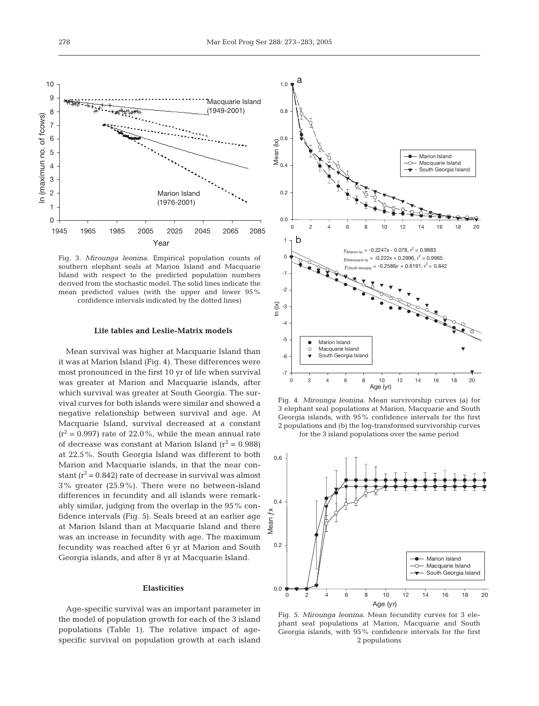

Fig. 3. *Mirounga leonina*. Empirical population counts of southern elephant seals at Marion Island and Macquarie Island with respect to the predicted population numbers derived from the stochastic model. The solid lines indicate the mean predicted values (with the upper and lower 95% confidence intervals indicated by the dotted lines)

#### **Life tables and Leslie-Matrix models**

Mean survival was higher at Macquarie Island than it was at Marion Island (Fig. 4). These differences were most pronounced in the first 10 yr of life when survival was greater at Marion and Macquarie islands, after which survival was greater at South Georgia. The survival curves for both islands were similar and showed a negative relationship between survival and age. At Macquarie Island, survival decreased at a constant  $(r^2 = 0.997)$  rate of 22.0%, while the mean annual rate of decrease was constant at Marion Island  $(r^2 = 0.988)$ at 22.5%. South Georgia Island was different to both Marion and Macquarie islands, in that the near constant  $(r^2 = 0.842)$  rate of decrease in survival was almost 3% greater (25.9%). There were no between-island differences in fecundity and all islands were remarkably similar, judging from the overlap in the 95% confidence intervals (Fig. 5). Seals breed at an earlier age at Marion Island than at Macquarie Island and there was an increase in fecundity with age. The maximum fecundity was reached after 6 yr at Marion and South Georgia islands, and after 8 yr at Macquarie Island.

## **Elasticities**

Age-specific survival was an important parameter in the model of population growth for each of the 3 island populations (Table 1). The relative impact of agespecific survival on population growth at each island



Fig. 4. *Mirounga leonina*. Mean survivorship curves (a) for 3 elephant seal populations at Marion, Macquarie and South Georgia islands, with 95% confidence intervals for the first 2 populations and (b) the log-transformed survivorship curves for the 3 island populations over the same period



Fig. 5. *Mirounga leonina*. Mean fecundity curves for 3 elephant seal populations at Marion, Macquarie and South Georgia islands, with 95% confidence intervals for the first 2 populations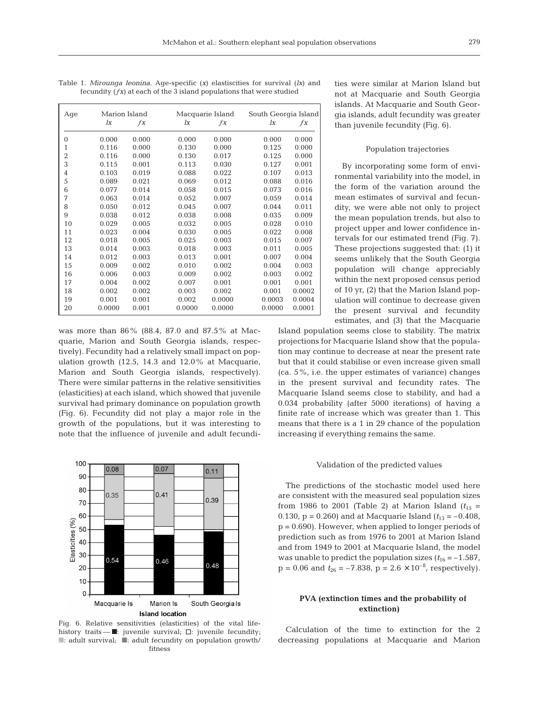| Table 1. <i>Mirounga leonina</i> . Age-specific $(x)$ elastiscities for survival $(lx)$ and | ties were similar at Marion |
|---------------------------------------------------------------------------------------------|-----------------------------|
| fecundity $(fx)$ at each of the 3 island populations that were studied                      | not at Macquarie and Sou    |

| Age            | Marion Island |       | Macquarie Island |        | South Georgia Island |        |
|----------------|---------------|-------|------------------|--------|----------------------|--------|
|                | lx            | $f_X$ | lx               | $f_X$  | lx                   | $f_X$  |
| 0              | 0.000         | 0.000 | 0.000            | 0.000  | 0.000                | 0.000  |
| 1              | 0.116         | 0.000 | 0.130            | 0.000  | 0.125                | 0.000  |
| $\overline{2}$ | 0.116         | 0.000 | 0.130            | 0.017  | 0.125                | 0.000  |
| 3              | 0.115         | 0.001 | 0.113            | 0.030  | 0.127                | 0.001  |
| 4              | 0.103         | 0.019 | 0.088            | 0.022  | 0.107                | 0.013  |
| 5              | 0.089         | 0.021 | 0.069            | 0.012  | 0.088                | 0.016  |
| 6              | 0.077         | 0.014 | 0.058            | 0.015  | 0.073                | 0.016  |
| 7              | 0.063         | 0.014 | 0.052            | 0.007  | 0.059                | 0.014  |
| 8              | 0.050         | 0.012 | 0.045            | 0.007  | 0.044                | 0.011  |
| 9              | 0.038         | 0.012 | 0.038            | 0.008  | 0.035                | 0.009  |
| 10             | 0.029         | 0.005 | 0.032            | 0.005  | 0.028                | 0.010  |
| 11             | 0.023         | 0.004 | 0.030            | 0.005  | 0.022                | 0.008  |
| 12             | 0.018         | 0.005 | 0.025            | 0.003  | 0.015                | 0.007  |
| 13             | 0.014         | 0.003 | 0.018            | 0.003  | 0.011                | 0.005  |
| 14             | 0.012         | 0.003 | 0.013            | 0.001  | 0.007                | 0.004  |
| 15             | 0.009         | 0.002 | 0.010            | 0.002  | 0.004                | 0.003  |
| 16             | 0.006         | 0.003 | 0.009            | 0.002  | 0.003                | 0.002  |
| 17             | 0.004         | 0.002 | 0.007            | 0.001  | 0.001                | 0.001  |
| 18             | 0.002         | 0.002 | 0.003            | 0.002  | 0.001                | 0.0002 |
| 19             | 0.001         | 0.001 | 0.002            | 0.0000 | 0.0003               | 0.0004 |
| 20             | 0.0000        | 0.001 | 0.0000           | 0.0000 | 0.0000               | 0.0001 |
|                |               |       |                  |        |                      |        |

was more than 86% (88.4, 87.0 and 87.5% at Macquarie, Marion and South Georgia islands, respectively). Fecundity had a relatively small impact on population growth (12.5, 14.3 and 12.0% at Macquarie, Marion and South Georgia islands, respectively). There were similar patterns in the relative sensitivities (elasticities) at each island, which showed that juvenile survival had primary dominance on population growth (Fig. 6). Fecundity did not play a major role in the growth of the populations, but it was interesting to note that the influence of juvenile and adult fecundi-



Fig. 6. Relative sensitivities (elasticities) of the vital lifehistory traits —  $\blacksquare$ : juvenile survival;  $\Box$ : juvenile fecundity; ■: adult survival; ■: adult fecundity on population growth/ fitness

ties Island but ith Georgia islands. At Macquarie and South Georgia islands, adult fecundity was greater than juvenile fecundity (Fig. 6).

## Population trajectories

By incorporating some form of environmental variability into the model, in the form of the variation around the mean estimates of survival and fecundity, we were able not only to project the mean population trends, but also to project upper and lower confidence intervals for our estimated trend (Fig. 7). These projections suggested that: (1) it seems unlikely that the South Georgia population will change appreciably within the next proposed census period of 10 yr, (2) that the Marion Island population will continue to decrease given the present survival and fecundity estimates, and (3) that the Macquarie

Island population seems close to stability. The matrix projections for Macquarie Island show that the population may continue to decrease at near the present rate but that it could stabilise or even increase given small (ca. 5%, i.e. the upper estimates of variance) changes in the present survival and fecundity rates. The Macquarie Island seems close to stability, and had a 0.034 probability (after 5000 iterations) of having a finite rate of increase which was greater than 1. This means that there is a 1 in 29 chance of the population increasing if everything remains the same.

#### Validation of the predicted values

The predictions of the stochastic model used here are consistent with the measured seal population sizes from 1986 to 2001 (Table 2) at Marion Island  $(t_{15} =$ 0.130,  $p = 0.260$ ) and at Macquarie Island  $(t_{13} = -0.408$ ,  $p = 0.690$ . However, when applied to longer periods of prediction such as from 1976 to 2001 at Marion Island and from 1949 to 2001 at Macquarie Island, the model was unable to predict the population sizes  $(t_{16} = -1.587$ ,  $p = 0.06$  and  $t_{26} = -7.838$ ,  $p = 2.6 \times 10^{-8}$ , respectively).

# **PVA (extinction times and the probability of extinction)**

Calculation of the time to extinction for the 2 decreasing populations at Macquarie and Marion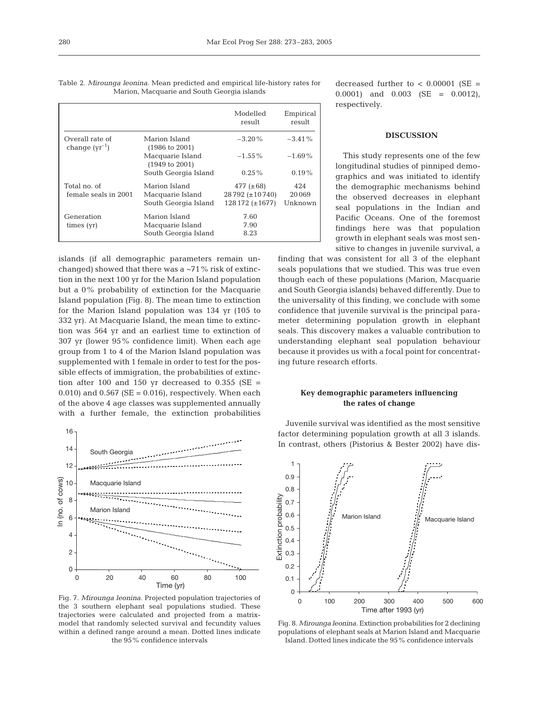| runton, rucquane and bouin Georgia islands |                                            |                                            |                     |  |  |  |
|--------------------------------------------|--------------------------------------------|--------------------------------------------|---------------------|--|--|--|
|                                            |                                            | Modelled<br>result                         | Empirical<br>result |  |  |  |
| Overall rate of<br>change $(yr^{-1})$      | Marion Island<br>$(1986 \text{ to } 2001)$ | $-3.20\%$                                  | $-3.41\%$           |  |  |  |
|                                            | Macquarie Island<br>(1949 to 2001)         | $-1.55\%$                                  | $-1.69\%$           |  |  |  |
|                                            | South Georgia Island                       | $0.25\%$                                   | $0.19\%$            |  |  |  |
| Total no. of                               | Marion Island                              | 477 $(\pm 68)$                             | 424                 |  |  |  |
| female seals in 2001                       | Macquarie Island<br>South Georgia Island   | $28792 (\pm 10740)$<br>$128172 (\pm 1677)$ | 20069<br>Unknown    |  |  |  |
| Generation                                 | Marion Island                              | 7.60                                       |                     |  |  |  |
| times (yr)                                 | Macquarie Island<br>South Georgia Island   | 7.90<br>8.23                               |                     |  |  |  |

Table 2. *Mirounga leonina*. Mean predicted and empirical life-history rates for Marion, Macquarie and South Georgia islands

islands (if all demographic parameters remain unchanged) showed that there was a  $\sim$ 71% risk of extinction in the next 100 yr for the Marion Island population but a 0% probability of extinction for the Macquarie Island population (Fig. 8). The mean time to extinction for the Marion Island population was 134 yr (105 to 332 yr). At Macquarie Island, the mean time to extinction was 564 yr and an earliest time to extinction of 307 yr (lower 95% confidence limit). When each age group from 1 to 4 of the Marion Island population was supplemented with 1 female in order to test for the possible effects of immigration, the probabilities of extinction after 100 and 150 yr decreased to  $0.355$  (SE = 0.010) and 0.567 ( $SE = 0.016$ ), respectively. When each of the above 4 age classes was supplemented annually with a further female, the extinction probabilities



Fig. 7. *Mirounga leonina*. Projected population trajectories of the 3 southern elephant seal populations studied. These trajectories were calculated and projected from a matrixmodel that randomly selected survival and fecundity values within a defined range around a mean. Dotted lines indicate the 95% confidence intervals

decreased further to  $< 0.00001$  (SE = 0.0001) and 0.003 (SE = 0.0012), respectively.

## **DISCUSSION**

This study represents one of the few longitudinal studies of pinniped demographics and was initiated to identify the demographic mechanisms behind the observed decreases in elephant seal populations in the Indian and Pacific Oceans. One of the foremost findings here was that population growth in elephant seals was most sensitive to changes in juvenile survival, a

finding that was consistent for all 3 of the elephant seals populations that we studied. This was true even though each of these populations (Marion, Macquarie and South Georgia islands) behaved differently. Due to the universality of this finding, we conclude with some confidence that juvenile survival is the principal parameter determining population growth in elephant seals. This discovery makes a valuable contribution to understanding elephant seal population behaviour because it provides us with a focal point for concentrating future research efforts.

# **Key demographic parameters influencing the rates of change**

Juvenile survival was identified as the most sensitive factor determining population growth at all 3 islands. In contrast, others (Pistorius & Bester 2002) have dis-



Fig. 8. *Mirounga leonina*. Extinction probabilities for 2 declining populations of elephant seals at Marion Island and Macquarie Island. Dotted lines indicate the 95% confidence intervals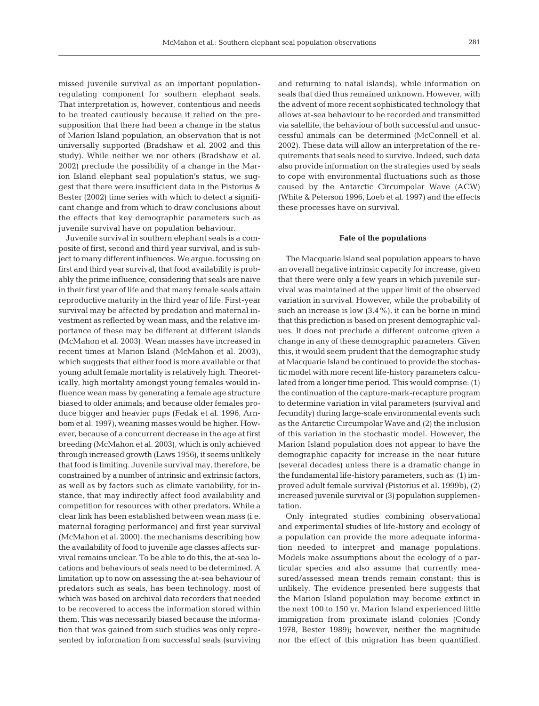missed juvenile survival as an important populationregulating component for southern elephant seals. That interpretation is, however, contentious and needs to be treated cautiously because it relied on the presupposition that there had been a change in the status of Marion Island population, an observation that is not universally supported (Bradshaw et al. 2002 and this study). While neither we nor others (Bradshaw et al. 2002) preclude the possibility of a change in the Marion Island elephant seal population's status, we suggest that there were insufficient data in the Pistorius & Bester (2002) time series with which to detect a significant change and from which to draw conclusions about the effects that key demographic parameters such as juvenile survival have on population behaviour.

Juvenile survival in southern elephant seals is a composite of first, second and third year survival, and is subject to many different influences. We argue, focussing on first and third year survival, that food availability is probably the prime influence, considering that seals are naive in their first year of life and that many female seals attain reproductive maturity in the third year of life. First-year survival may be affected by predation and maternal investment as reflected by wean mass, and the relative importance of these may be different at different islands (McMahon et al. 2003). Wean masses have increased in recent times at Marion Island (McMahon et al. 2003), which suggests that either food is more available or that young adult female mortality is relatively high. Theoretically, high mortality amongst young females would influence wean mass by generating a female age structure biased to older animals; and because older females produce bigger and heavier pups (Fedak et al. 1996, Arnbom et al. 1997), weaning masses would be higher. However, because of a concurrent decrease in the age at first breeding (McMahon et al. 2003), which is only achieved through increased growth (Laws 1956), it seems unlikely that food is limiting. Juvenile survival may, therefore, be constrained by a number of intrinsic and extrinsic factors, as well as by factors such as climate variability, for instance, that may indirectly affect food availability and competition for resources with other predators. While a clear link has been established between wean mass (i.e. maternal foraging performance) and first year survival (McMahon et al. 2000), the mechanisms describing how the availability of food to juvenile age classes affects survival remains unclear. To be able to do this, the at-sea locations and behaviours of seals need to be determined. A limitation up to now on assessing the at-sea behaviour of predators such as seals, has been technology, most of which was based on archival data recorders that needed to be recovered to access the information stored within them. This was necessarily biased because the information that was gained from such studies was only represented by information from successful seals (surviving

and returning to natal islands), while information on seals that died thus remained unknown. However, with the advent of more recent sophisticated technology that allows at-sea behaviour to be recorded and transmitted via satellite, the behaviour of both successful and unsuccessful animals can be determined (McConnell et al. 2002). These data will allow an interpretation of the requirements that seals need to survive. Indeed, such data also provide information on the strategies used by seals to cope with environmental fluctuations such as those caused by the Antarctic Circumpolar Wave (ACW) (White & Peterson 1996, Loeb et al. 1997) and the effects these processes have on survival.

#### **Fate of the populations**

The Macquarie Island seal population appears to have an overall negative intrinsic capacity for increase, given that there were only a few years in which juvenile survival was maintained at the upper limit of the observed variation in survival. However, while the probability of such an increase is low (3.4%), it can be borne in mind that this prediction is based on present demographic values. It does not preclude a different outcome given a change in any of these demographic parameters. Given this, it would seem prudent that the demographic study at Macquarie Island be continued to provide the stochastic model with more recent life-history parameters calculated from a longer time period. This would comprise: (1) the continuation of the capture-mark-recapture program to determine variation in vital parameters (survival and fecundity) during large-scale environmental events such as the Antarctic Circumpolar Wave and (2) the inclusion of this variation in the stochastic model. However, the Marion Island population does not appear to have the demographic capacity for increase in the near future (several decades) unless there is a dramatic change in the fundamental life-history parameters, such as: (1) improved adult female survival (Pistorius et al. 1999b), (2) increased juvenile survival or (3) population supplementation.

Only integrated studies combining observational and experimental studies of life-history and ecology of a population can provide the more adequate information needed to interpret and manage populations. Models make assumptions about the ecology of a particular species and also assume that currently measured/assessed mean trends remain constant; this is unlikely. The evidence presented here suggests that the Marion Island population may become extinct in the next 100 to 150 yr. Marion Island experienced little immigration from proximate island colonies (Condy 1978, Bester 1989); however, neither the magnitude nor the effect of this migration has been quantified.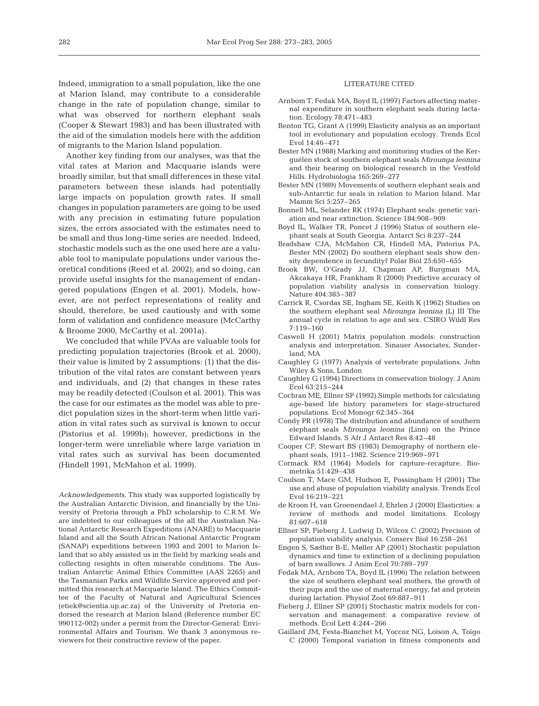Indeed, immigration to a small population, like the one at Marion Island, may contribute to a considerable change in the rate of population change, similar to what was observed for northern elephant seals (Cooper & Stewart 1983) and has been illustrated with the aid of the simulation models here with the addition of migrants to the Marion Island population.

Another key finding from our analyses, was that the vital rates at Marion and Macquarie islands were broadly similar, but that small differences in these vital parameters between these islands had potentially large impacts on population growth rates. If small changes in population parameters are going to be used with any precision in estimating future population sizes, the errors associated with the estimates need to be small and thus long-time series are needed. Indeed, stochastic models such as the one used here are a valuable tool to manipulate populations under various theoretical conditions (Reed et al. 2002); and so doing, can provide useful insights for the management of endangered populations (Engen et al. 2001). Models, however, are not perfect representations of reality and should, therefore, be used cautiously and with some form of validation and confidence measure (McCarthy & Broome 2000, McCarthy et al. 2001a).

We concluded that while PVAs are valuable tools for predicting population trajectories (Brook et al. 2000), their value is limited by 2 assumptions: (1) that the distribution of the vital rates are constant between years and individuals, and (2) that changes in these rates may be readily detected (Coulson et al. 2001). This was the case for our estimates as the model was able to predict population sizes in the short-term when little variation in vital rates such as survival is known to occur (Pistorius et al. 1999b); however, predictions in the longer-term were unreliable where large variation in vital rates such as survival has been documented (Hindell 1991, McMahon et al. 1999).

*Acknowledgements*. This study was supported logistically by the Australian Antarctic Division, and financially by the University of Pretoria through a PhD scholarship to C.R.M. We are indebted to our colleagues of the all the Australian National Antarctic Research Expeditions (ANARE) to Macquarie Island and all the South African National Antarctic Program (SANAP) expeditions between 1993 and 2001 to Marion Island that so ably assisted us in the field by marking seals and collecting resights in often miserable conditions. The Australian Antarctic Animal Ethics Committee (AAS 2265) and the Tasmanian Parks and Wildlife Service approved and permitted this research at Macquarie Island. The Ethics Committee of the Faculty of Natural and Agricultural Sciences (etiek@scientia.up.ac.za) of the University of Pretoria endorsed the research at Marion Island (Reference number EC 990112-002) under a permit from the Director-General: Environmental Affairs and Tourism. We thank 3 anonymous reviewers for their constructive review of the paper.

## LITERATURE CITED

- Arnbom T, Fedak MA, Boyd IL (1997) Factors affecting maternal expenditure in southern elephant seals during lactation. Ecology 78:471–483
- Benton TG, Grant A (1999) Elasticity analysis as an important tool in evolutionary and population ecology. Trends Ecol Evol 14:46–471
- Bester MN (1988) Marking and monitoring studies of the Kerguélen stock of southern elephant seals *Mirounga leonina* and their bearing on biological research in the Vestfold Hills. Hydrobiologia 165:269–277
- Bester MN (1989) Movements of southern elephant seals and sub-Antarctic fur seals in relation to Marion Island. Mar Mamm Sci 5:257–265
- Bonnell ML, Selander RK (1974) Elephant seals: genetic variation and near extinction. Science 184:908–909
- Boyd IL, Walker TR, Poncet J (1996) Status of southern elephant seals at South Georgia. Antarct Sci 8:237–244
- Bradshaw CJA, McMahon CR, Hindell MA, Pistorius PA, Bester MN (2002) Do southern elephant seals show density dependence in fecundity? Polar Biol 25:650–655
- Brook BW, O'Grady JJ, Chapman AP, Burgman MA, Akcakaya HR, Frankham R (2000) Predictive accuracy of population viability analysis in conservation biology. Nature 404:385–387
- Carrick R, Csordas SE, Ingham SE, Keith K (1962) Studies on the southern elephant seal *Mirounga leonina* (L) III The annual cycle in relation to age and sex. CSIRO Wildl Res 7:119–160
- Caswell H (2001) Matrix population models: construction analysis and interpretation. Sinauer Associates, Sunderland, MA
- Caughley G (1977) Analysis of vertebrate populations. John Wiley & Sons, London
- Caughley G (1994) Directions in conservation biology. J Anim Ecol 63:215–244
- Cochran ME, Ellner SP (1992) Simple methods for calculating age-based life history parameters for stage-structured populations. Ecol Monogr 62:345–364
- Condy PR (1978) The distribution and abundance of southern elephant seals *Mirounga leonina* (Linn) on the Prince Edward Islands. S Afr J Antarct Res 8:42–48
- Cooper CF, Stewart BS (1983) Demography of northern elephant seals, 1911–1982. Science 219:969–971
- Cormack RM (1964) Models for capture-recapture. Biometrika 51:429–438
- Coulson T, Mace GM, Hudson E, Possingham H (2001) The use and abuse of population viability analysis. Trends Ecol Evol 16:219–221
- de Kroon H, van Groenendael J, Ehrlen J (2000) Elasticities: a review of methods and model limitations. Ecology 81:607–618
- Ellner SP, Fieberg J, Ludwig D, Wilcox C (2002) Precision of population viability analysis. Conserv Biol 16:258–261
- Engen S, Sæther B-E, Møller AP (2001) Stochastic population dynamics and time to extinction of a declining population of barn swallows. J Anim Ecol 70:789–797
- Fedak MA, Arnbom TA, Boyd IL (1996) The relation between the size of southern elephant seal mothers, the growth of their pups and the use of maternal energy, fat and protein during lactation. Physiol Zool 69:887–911
- Fieberg J, Ellner SP (2001) Stochastic matrix models for conservation and management: a comparative review of methods. Ecol Lett 4:244–266
- Gaillard JM, Festa-Bianchet M, Yoccoz NG, Loison A, Toïgo C (2000) Temporal variation in fitness components and